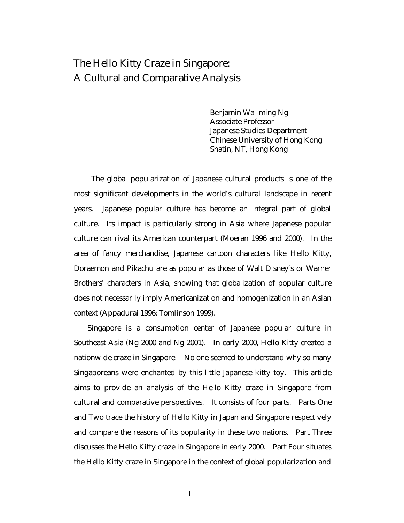# The Hello Kitty Craze in Singapore: A Cultural and Comparative Analysis

Benjamin Wai-ming Ng Associate Professor Japanese Studies Department Chinese University of Hong Kong Shatin, NT, Hong Kong

The global popularization of Japanese cultural products is one of the most significant developments in the world's cultural landscape in recent years. Japanese popular culture has become an integral part of global culture. Its impact is particularly strong in Asia where Japanese popular culture can rival its American counterpart (Moeran 1996 and 2000). In the area of fancy merchandise, Japanese cartoon characters like Hello Kitty, Doraemon and Pikachu are as popular as those of Walt Disney's or Warner Brothers' characters in Asia, showing that globalization of popular culture does not necessarily imply Americanization and homogenization in an Asian context (Appadurai 1996; Tomlinson 1999).

Singapore is a consumption center of Japanese popular culture in Southeast Asia (Ng 2000 and Ng 2001). In early 2000, Hello Kitty created a nationwide craze in Singapore. No one seemed to understand why so many Singaporeans were enchanted by this little Japanese kitty toy. This article aims to provide an analysis of the Hello Kitty craze in Singapore from cultural and comparative perspectives. It consists of four parts. Parts One and Two trace the history of Hello Kitty in Japan and Singapore respectively and compare the reasons of its popularity in these two nations. Part Three discusses the Hello Kitty craze in Singapore in early 2000. Part Four situates the Hello Kitty craze in Singapore in the context of global popularization and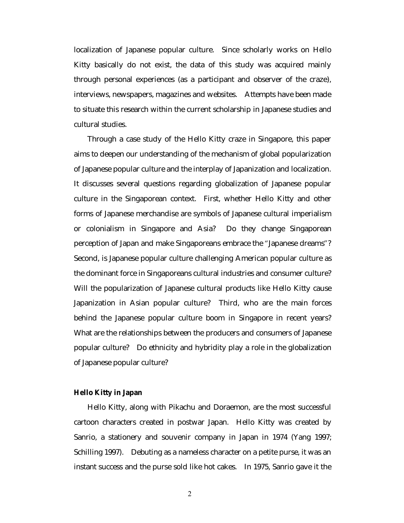localization of Japanese popular culture. Since scholarly works on Hello Kitty basically do not exist, the data of this study was acquired mainly through personal experiences (as a participant and observer of the craze), interviews, newspapers, magazines and websites. Attempts have been made to situate this research within the current scholarship in Japanese studies and cultural studies.

Through a case study of the Hello Kitty craze in Singapore, this paper aims to deepen our understanding of the mechanism of global popularization of Japanese popular culture and the interplay of Japanization and localization. It discusses several questions regarding globalization of Japanese popular culture in the Singaporean context. First, whether Hello Kitty and other forms of Japanese merchandise are symbols of Japanese cultural imperialism or colonialism in Singapore and Asia? Do they change Singaporean perception of Japan and make Singaporeans embrace the "Japanese dreams"? Second, is Japanese popular culture challenging American popular culture as the dominant force in Singaporeans cultural industries and consumer culture? Will the popularization of Japanese cultural products like Hello Kitty cause Japanization in Asian popular culture? Third, who are the main forces behind the Japanese popular culture boom in Singapore in recent years? What are the relationships between the producers and consumers of Japanese popular culture? Do ethnicity and hybridity play a role in the globalization of Japanese popular culture?

## **Hello Kitty in Japan**

Hello Kitty, along with Pikachu and Doraemon, are the most successful cartoon characters created in postwar Japan. Hello Kitty was created by Sanrio, a stationery and souvenir company in Japan in 1974 (Yang 1997; Schilling 1997). Debuting as a nameless character on a petite purse, it was an instant success and the purse sold like hot cakes. In 1975, Sanrio gave it the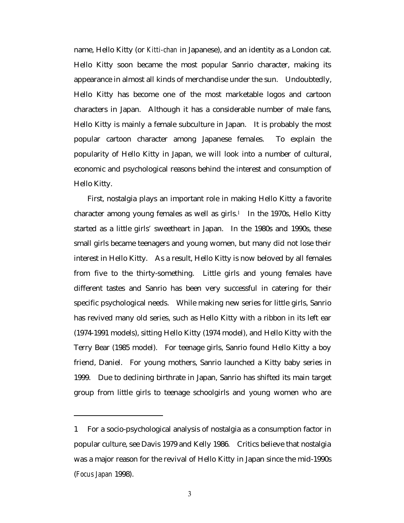name, Hello Kitty (or *Kitti-chan* in Japanese), and an identity as a London cat. Hello Kitty soon became the most popular Sanrio character, making its appearance in almost all kinds of merchandise under the sun. Undoubtedly, Hello Kitty has become one of the most marketable logos and cartoon characters in Japan. Although it has a considerable number of male fans, Hello Kitty is mainly a female subculture in Japan. It is probably the most popular cartoon character among Japanese females. To explain the popularity of Hello Kitty in Japan, we will look into a number of cultural, economic and psychological reasons behind the interest and consumption of Hello Kitty.

First, nostalgia plays an important role in making Hello Kitty a favorite character among young females as well as girls.<sup>1</sup> In the 1970s, Hello Kitty started as a little girls' sweetheart in Japan. In the 1980s and 1990s, these small girls became teenagers and young women, but many did not lose their interest in Hello Kitty. As a result, Hello Kitty is now beloved by all females from five to the thirty-something. Little girls and young females have different tastes and Sanrio has been very successful in catering for their specific psychological needs. While making new series for little girls, Sanrio has revived many old series, such as Hello Kitty with a ribbon in its left ear (1974-1991 models), sitting Hello Kitty (1974 model), and Hello Kitty with the Terry Bear (1985 model). For teenage girls, Sanrio found Hello Kitty a boy friend, Daniel. For young mothers, Sanrio launched a Kitty baby series in 1999. Due to declining birthrate in Japan, Sanrio has shifted its main target group from little girls to teenage schoolgirls and young women who are

<sup>1</sup> For a socio-psychological analysis of nostalgia as a consumption factor in popular culture, see Davis 1979 and Kelly 1986. Critics believe that nostalgia was a major reason for the revival of Hello Kitty in Japan since the mid-1990s (*Focus Japan* 1998).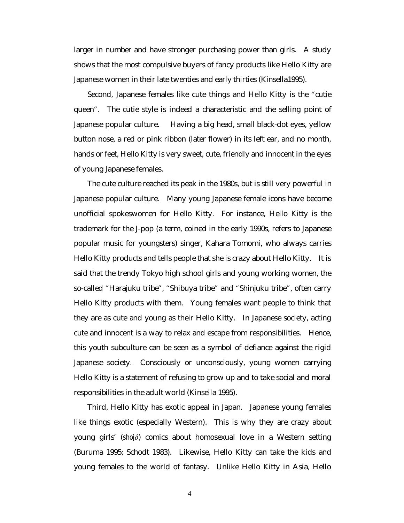larger in number and have stronger purchasing power than girls. A study shows that the most compulsive buyers of fancy products like Hello Kitty are Japanese women in their late twenties and early thirties (Kinsella1995).

Second, Japanese females like cute things and Hello Kitty is the "cutie queen". The cutie style is indeed a characteristic and the selling point of Japanese popular culture. Having a big head, small black-dot eyes, yellow button nose, a red or pink ribbon (later flower) in its left ear, and no month, hands or feet, Hello Kitty is very sweet, cute, friendly and innocent in the eyes of young Japanese females.

The cute culture reached its peak in the 1980s, but is still very powerful in Japanese popular culture. Many young Japanese female icons have become unofficial spokeswomen for Hello Kitty. For instance, Hello Kitty is the trademark for the J-pop (a term, coined in the early 1990s, refers to Japanese popular music for youngsters) singer, Kahara Tomomi, who always carries Hello Kitty products and tells people that she is crazy about Hello Kitty. It is said that the trendy Tokyo high school girls and young working women, the so-called "Harajuku tribe", "Shibuya tribe" and "Shinjuku tribe", often carry Hello Kitty products with them. Young females want people to think that they are as cute and young as their Hello Kitty. In Japanese society, acting cute and innocent is a way to relax and escape from responsibilities. Hence, this youth subculture can be seen as a symbol of defiance against the rigid Japanese society. Consciously or unconsciously, young women carrying Hello Kitty is a statement of refusing to grow up and to take social and moral responsibilities in the adult world (Kinsella 1995).

Third, Hello Kitty has exotic appeal in Japan. Japanese young females like things exotic (especially Western). This is why they are crazy about young girls' (*shojô*) comics about homosexual love in a Western setting (Buruma 1995; Schodt 1983). Likewise, Hello Kitty can take the kids and young females to the world of fantasy. Unlike Hello Kitty in Asia, Hello

4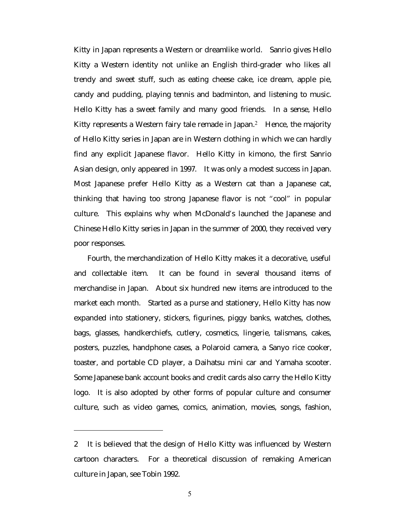Kitty in Japan represents a Western or dreamlike world. Sanrio gives Hello Kitty a Western identity not unlike an English third-grader who likes all trendy and sweet stuff, such as eating cheese cake, ice dream, apple pie, candy and pudding, playing tennis and badminton, and listening to music. Hello Kitty has a sweet family and many good friends. In a sense, Hello Kitty represents a Western fairy tale remade in Japan.2 Hence, the majority of Hello Kitty series in Japan are in Western clothing in which we can hardly find any explicit Japanese flavor. Hello Kitty in kimono, the first Sanrio Asian design, only appeared in 1997. It was only a modest success in Japan. Most Japanese prefer Hello Kitty as a Western cat than a Japanese cat, thinking that having too strong Japanese flavor is not "cool" in popular culture. This explains why when McDonald's launched the Japanese and Chinese Hello Kitty series in Japan in the summer of 2000, they received very poor responses.

Fourth, the merchandization of Hello Kitty makes it a decorative, useful and collectable item. It can be found in several thousand items of merchandise in Japan. About six hundred new items are introduced to the market each month. Started as a purse and stationery, Hello Kitty has now expanded into stationery, stickers, figurines, piggy banks, watches, clothes, bags, glasses, handkerchiefs, cutlery, cosmetics, lingerie, talismans, cakes, posters, puzzles, handphone cases, a Polaroid camera, a Sanyo rice cooker, toaster, and portable CD player, a Daihatsu mini car and Yamaha scooter. Some Japanese bank account books and credit cards also carry the Hello Kitty logo. It is also adopted by other forms of popular culture and consumer culture, such as video games, comics, animation, movies, songs, fashion,

 $\overline{a}$ 

<sup>2</sup> It is believed that the design of Hello Kitty was influenced by Western cartoon characters. For a theoretical discussion of remaking American culture in Japan, see Tobin 1992.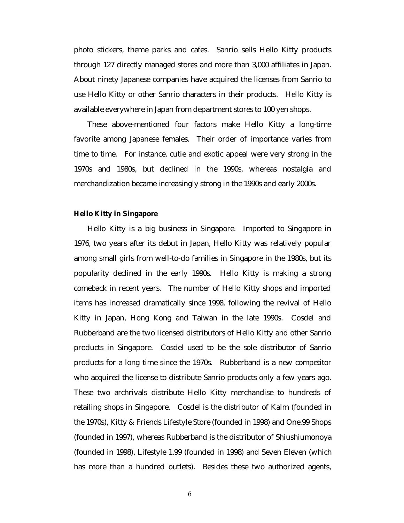photo stickers, theme parks and cafes. Sanrio sells Hello Kitty products through 127 directly managed stores and more than 3,000 affiliates in Japan. About ninety Japanese companies have acquired the licenses from Sanrio to use Hello Kitty or other Sanrio characters in their products. Hello Kitty is available everywhere in Japan from department stores to 100 yen shops.

These above-mentioned four factors make Hello Kitty a long-time favorite among Japanese females. Their order of importance varies from time to time. For instance, cutie and exotic appeal were very strong in the 1970s and 1980s, but declined in the 1990s, whereas nostalgia and merchandization became increasingly strong in the 1990s and early 2000s.

### **Hello Kitty in Singapore**

Hello Kitty is a big business in Singapore. Imported to Singapore in 1976, two years after its debut in Japan, Hello Kitty was relatively popular among small girls from well-to-do families in Singapore in the 1980s, but its popularity declined in the early 1990s. Hello Kitty is making a strong comeback in recent years. The number of Hello Kitty shops and imported items has increased dramatically since 1998, following the revival of Hello Kitty in Japan, Hong Kong and Taiwan in the late 1990s. Cosdel and Rubberband are the two licensed distributors of Hello Kitty and other Sanrio products in Singapore. Cosdel used to be the sole distributor of Sanrio products for a long time since the 1970s. Rubberband is a new competitor who acquired the license to distribute Sanrio products only a few years ago. These two archrivals distribute Hello Kitty merchandise to hundreds of retailing shops in Singapore. Cosdel is the distributor of Kalm (founded in the 1970s), Kitty & Friends Lifestyle Store (founded in 1998) and One.99 Shops (founded in 1997), whereas Rubberband is the distributor of Shiushiumonoya (founded in 1998), Lifestyle 1.99 (founded in 1998) and Seven Eleven (which has more than a hundred outlets). Besides these two authorized agents,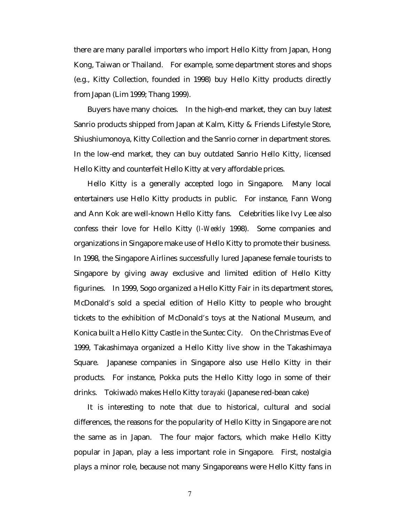there are many parallel importers who import Hello Kitty from Japan, Hong Kong, Taiwan or Thailand. For example, some department stores and shops (e.g., Kitty Collection, founded in 1998) buy Hello Kitty products directly from Japan (Lim 1999; Thang 1999).

Buyers have many choices. In the high-end market, they can buy latest Sanrio products shipped from Japan at Kalm, Kitty & Friends Lifestyle Store, Shiushiumonoya, Kitty Collection and the Sanrio corner in department stores. In the low-end market, they can buy outdated Sanrio Hello Kitty, licensed Hello Kitty and counterfeit Hello Kitty at very affordable prices.

Hello Kitty is a generally accepted logo in Singapore. Many local entertainers use Hello Kitty products in public. For instance, Fann Wong and Ann Kok are well-known Hello Kitty fans. Celebrities like Ivy Lee also confess their love for Hello Kitty (*I-Weekly* 1998). Some companies and organizations in Singapore make use of Hello Kitty to promote their business. In 1998, the Singapore Airlines successfully lured Japanese female tourists to Singapore by giving away exclusive and limited edition of Hello Kitty figurines. In 1999, Sogo organized a Hello Kitty Fair in its department stores, McDonald's sold a special edition of Hello Kitty to people who brought tickets to the exhibition of McDonald's toys at the National Museum, and Konica built a Hello Kitty Castle in the Suntec City. On the Christmas Eve of 1999, Takashimaya organized a Hello Kitty live show in the Takashimaya Square. Japanese companies in Singapore also use Hello Kitty in their products. For instance, Pokka puts the Hello Kitty logo in some of their drinks. Tokiwadô makes Hello Kitty *torayaki* (Japanese red-bean cake)

It is interesting to note that due to historical, cultural and social differences, the reasons for the popularity of Hello Kitty in Singapore are not the same as in Japan. The four major factors, which make Hello Kitty popular in Japan, play a less important role in Singapore. First, nostalgia plays a minor role, because not many Singaporeans were Hello Kitty fans in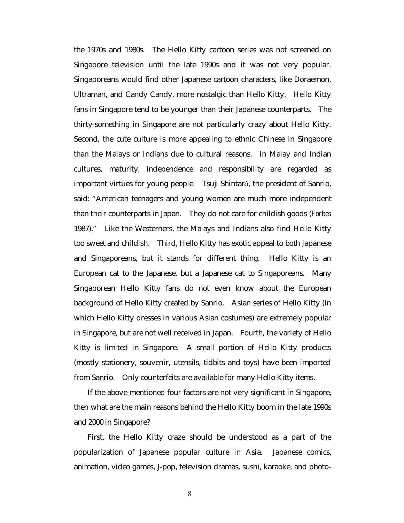the 1970s and 1980s. The Hello Kitty cartoon series was not screened on Singapore television until the late 1990s and it was not very popular. Singaporeans would find other Japanese cartoon characters, like Doraemon, Ultraman, and Candy Candy, more nostalgic than Hello Kitty. Hello Kitty fans in Singapore tend to be younger than their Japanese counterparts. The thirty-something in Singapore are not particularly crazy about Hello Kitty. Second, the cute culture is more appealing to ethnic Chinese in Singapore than the Malays or Indians due to cultural reasons. In Malay and Indian cultures, maturity, independence and responsibility are regarded as important virtues for young people. Tsuji Shintarô, the president of Sanrio, said: "American teenagers and young women are much more independent than their counterparts in Japan. They do not care for childish goods (*Forbes* 1987)." Like the Westerners, the Malays and Indians also find Hello Kitty too sweet and childish. Third, Hello Kitty has exotic appeal to both Japanese and Singaporeans, but it stands for different thing. Hello Kitty is an European cat to the Japanese, but a Japanese cat to Singaporeans. Many Singaporean Hello Kitty fans do not even know about the European background of Hello Kitty created by Sanrio. Asian series of Hello Kitty (in which Hello Kitty dresses in various Asian costumes) are extremely popular in Singapore, but are not well received in Japan. Fourth, the variety of Hello Kitty is limited in Singapore. A small portion of Hello Kitty products (mostly stationery, souvenir, utensils, tidbits and toys) have been imported from Sanrio. Only counterfeits are available for many Hello Kitty items.

If the above-mentioned four factors are not very significant in Singapore, then what are the main reasons behind the Hello Kitty boom in the late 1990s and 2000 in Singapore?

First, the Hello Kitty craze should be understood as a part of the popularization of Japanese popular culture in Asia. Japanese comics, animation, video games, J-pop, television dramas, sushi, karaoke, and photo-

8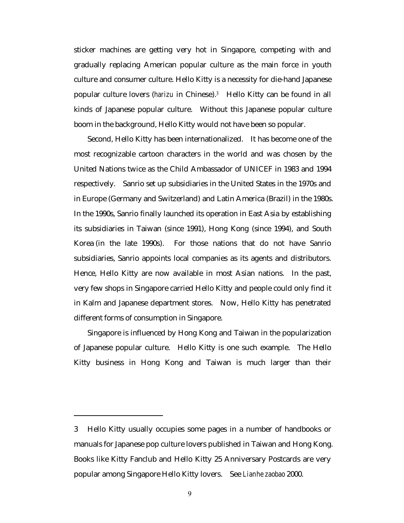sticker machines are getting very hot in Singapore, competing with and gradually replacing American popular culture as the main force in youth culture and consumer culture. Hello Kitty is a necessity for die-hand Japanese popular culture lovers (*harizu* in Chinese).3 Hello Kitty can be found in all kinds of Japanese popular culture. Without this Japanese popular culture boom in the background, Hello Kitty would not have been so popular.

Second, Hello Kitty has been internationalized. It has become one of the most recognizable cartoon characters in the world and was chosen by the United Nations twice as the Child Ambassador of UNICEF in 1983 and 1994 respectively. Sanrio set up subsidiaries in the United States in the 1970s and in Europe (Germany and Switzerland) and Latin America (Brazil) in the 1980s. In the 1990s, Sanrio finally launched its operation in East Asia by establishing its subsidiaries in Taiwan (since 1991), Hong Kong (since 1994), and South Korea (in the late 1990s). For those nations that do not have Sanrio subsidiaries, Sanrio appoints local companies as its agents and distributors. Hence, Hello Kitty are now available in most Asian nations. In the past, very few shops in Singapore carried Hello Kitty and people could only find it in Kalm and Japanese department stores. Now, Hello Kitty has penetrated different forms of consumption in Singapore.

Singapore is influenced by Hong Kong and Taiwan in the popularization of Japanese popular culture. Hello Kitty is one such example. The Hello Kitty business in Hong Kong and Taiwan is much larger than their

<sup>3</sup> Hello Kitty usually occupies some pages in a number of handbooks or manuals for Japanese pop culture lovers published in Taiwan and Hong Kong. Books like Kitty Fanclub and Hello Kitty 25 Anniversary Postcards are very popular among Singapore Hello Kitty lovers. See *Lianhe zaobao* 2000.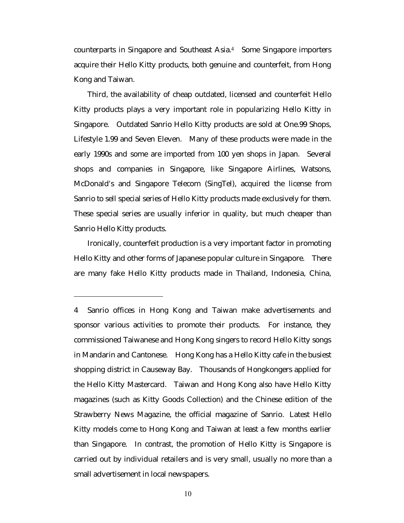counterparts in Singapore and Southeast Asia.4 Some Singapore importers acquire their Hello Kitty products, both genuine and counterfeit, from Hong Kong and Taiwan.

Third, the availability of cheap outdated, licensed and counterfeit Hello Kitty products plays a very important role in popularizing Hello Kitty in Singapore. Outdated Sanrio Hello Kitty products are sold at One.99 Shops, Lifestyle 1.99 and Seven Eleven. Many of these products were made in the early 1990s and some are imported from 100 yen shops in Japan. Several shops and companies in Singapore, like Singapore Airlines, Watsons, McDonald's and Singapore Telecom (SingTel), acquired the license from Sanrio to sell special series of Hello Kitty products made exclusively for them. These special series are usually inferior in quality, but much cheaper than Sanrio Hello Kitty products.

Ironically, counterfeit production is a very important factor in promoting Hello Kitty and other forms of Japanese popular culture in Singapore. There are many fake Hello Kitty products made in Thailand, Indonesia, China,

<sup>4</sup> Sanrio offices in Hong Kong and Taiwan make advertisements and sponsor various activities to promote their products. For instance, they commissioned Taiwanese and Hong Kong singers to record Hello Kitty songs in Mandarin and Cantonese. Hong Kong has a Hello Kitty cafe in the busiest shopping district in Causeway Bay. Thousands of Hongkongers applied for the Hello Kitty Mastercard. Taiwan and Hong Kong also have Hello Kitty magazines (such as Kitty Goods Collection) and the Chinese edition of the Strawberry News Magazine, the official magazine of Sanrio. Latest Hello Kitty models come to Hong Kong and Taiwan at least a few months earlier than Singapore. In contrast, the promotion of Hello Kitty is Singapore is carried out by individual retailers and is very small, usually no more than a small advertisement in local newspapers.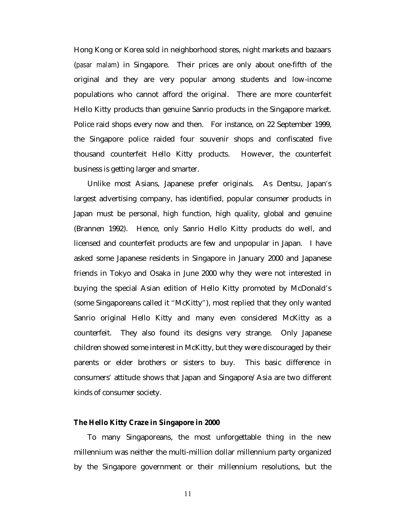Hong Kong or Korea sold in neighborhood stores, night markets and bazaars (*pasar malam*) in Singapore. Their prices are only about one-fifth of the original and they are very popular among students and low-income populations who cannot afford the original. There are more counterfeit Hello Kitty products than genuine Sanrio products in the Singapore market. Police raid shops every now and then. For instance, on 22 September 1999, the Singapore police raided four souvenir shops and confiscated five thousand counterfeit Hello Kitty products. However, the counterfeit business is getting larger and smarter.

Unlike most Asians, Japanese prefer originals. As Dentsu, Japan's largest advertising company, has identified, popular consumer products in Japan must be personal, high function, high quality, global and genuine (Brannen 1992). Hence, only Sanrio Hello Kitty products do well, and licensed and counterfeit products are few and unpopular in Japan. I have asked some Japanese residents in Singapore in January 2000 and Japanese friends in Tokyo and Osaka in June 2000 why they were not interested in buying the special Asian edition of Hello Kitty promoted by McDonald's (some Singaporeans called it "McKitty"), most replied that they only wanted Sanrio original Hello Kitty and many even considered McKitty as a counterfeit. They also found its designs very strange. Only Japanese children showed some interest in McKitty, but they were discouraged by their parents or elder brothers or sisters to buy. This basic difference in consumers' attitude shows that Japan and Singapore/Asia are two different kinds of consumer society.

#### **The Hello Kitty Craze in Singapore in 2000**

To many Singaporeans, the most unforgettable thing in the new millennium was neither the multi-million dollar millennium party organized by the Singapore government or their millennium resolutions, but the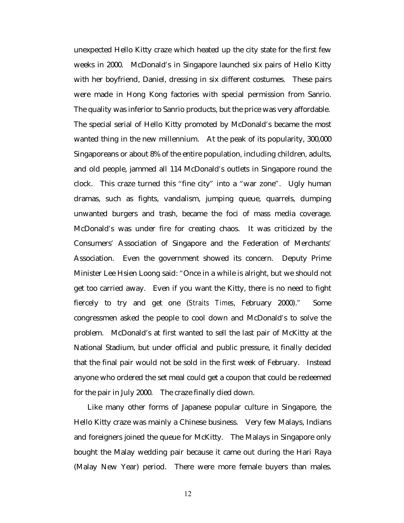unexpected Hello Kitty craze which heated up the city state for the first few weeks in 2000. McDonald's in Singapore launched six pairs of Hello Kitty with her boyfriend, Daniel, dressing in six different costumes. These pairs were made in Hong Kong factories with special permission from Sanrio. The quality was inferior to Sanrio products, but the price was very affordable. The special serial of Hello Kitty promoted by McDonald's became the most wanted thing in the new millennium. At the peak of its popularity, 300,000 Singaporeans or about 8% of the entire population, including children, adults, and old people, jammed all 114 McDonald's outlets in Singapore round the clock. This craze turned this "fine city" into a "war zone". Ugly human dramas, such as fights, vandalism, jumping queue, quarrels, dumping unwanted burgers and trash, became the foci of mass media coverage. McDonald's was under fire for creating chaos. It was criticized by the Consumers' Association of Singapore and the Federation of Merchants' Association. Even the government showed its concern. Deputy Prime Minister Lee Hsien Loong said: "Once in a while is alright, but we should not get too carried away. Even if you want the Kitty, there is no need to fight fiercely to try and get one (*Straits Times*, February 2000)." Some congressmen asked the people to cool down and McDonald's to solve the problem. McDonald's at first wanted to sell the last pair of McKitty at the National Stadium, but under official and public pressure, it finally decided that the final pair would not be sold in the first week of February. Instead anyone who ordered the set meal could get a coupon that could be redeemed for the pair in July 2000. The craze finally died down.

Like many other forms of Japanese popular culture in Singapore, the Hello Kitty craze was mainly a Chinese business. Very few Malays, Indians and foreigners joined the queue for McKitty. The Malays in Singapore only bought the Malay wedding pair because it came out during the Hari Raya (Malay New Year) period. There were more female buyers than males.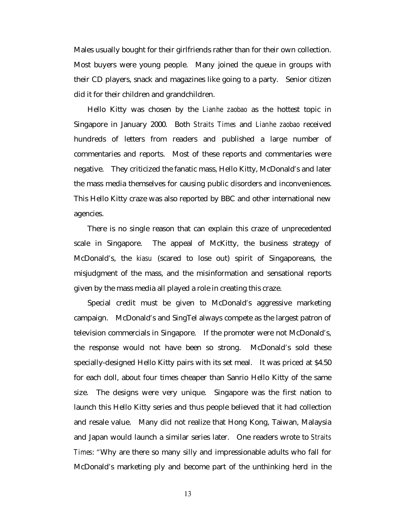Males usually bought for their girlfriends rather than for their own collection. Most buyers were young people. Many joined the queue in groups with their CD players, snack and magazines like going to a party. Senior citizen did it for their children and grandchildren.

Hello Kitty was chosen by the *Lianhe zaobao* as the hottest topic in Singapore in January 2000. Both *Straits Times* and *Lianhe zaobao* received hundreds of letters from readers and published a large number of commentaries and reports. Most of these reports and commentaries were negative. They criticized the fanatic mass, Hello Kitty, McDonald's and later the mass media themselves for causing public disorders and inconveniences. This Hello Kitty craze was also reported by BBC and other international new agencies.

There is no single reason that can explain this craze of unprecedented scale in Singapore. The appeal of McKitty, the business strategy of McDonald's, the *kiasu* (scared to lose out) spirit of Singaporeans, the misjudgment of the mass, and the misinformation and sensational reports given by the mass media all played a role in creating this craze.

Special credit must be given to McDonald's aggressive marketing campaign. McDonald's and SingTel always compete as the largest patron of television commercials in Singapore. If the promoter were not McDonald's, the response would not have been so strong. McDonald's sold these specially-designed Hello Kitty pairs with its set meal. It was priced at \$4.50 for each doll, about four times cheaper than Sanrio Hello Kitty of the same size. The designs were very unique. Singapore was the first nation to launch this Hello Kitty series and thus people believed that it had collection and resale value. Many did not realize that Hong Kong, Taiwan, Malaysia and Japan would launch a similar series later. One readers wrote to *Straits Times*: "Why are there so many silly and impressionable adults who fall for McDonald's marketing ply and become part of the unthinking herd in the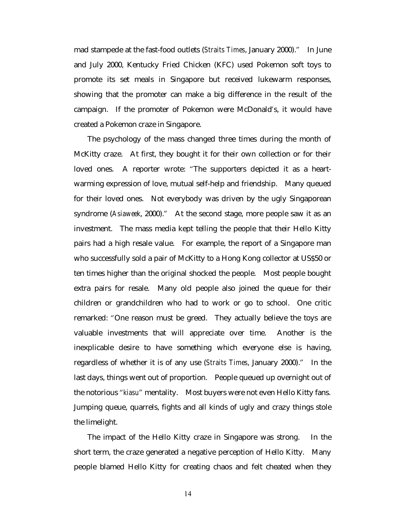mad stampede at the fast-food outlets (*Straits Times*, January 2000)." In June and July 2000, Kentucky Fried Chicken (KFC) used Pokemon soft toys to promote its set meals in Singapore but received lukewarm responses, showing that the promoter can make a big difference in the result of the campaign. If the promoter of Pokemon were McDonald's, it would have created a Pokemon craze in Singapore.

The psychology of the mass changed three times during the month of McKitty craze. At first, they bought it for their own collection or for their loved ones. A reporter wrote: "The supporters depicted it as a heartwarming expression of love, mutual self-help and friendship. Many queued for their loved ones. Not everybody was driven by the ugly Singaporean syndrome (*Asiaweek*, 2000)." At the second stage, more people saw it as an investment. The mass media kept telling the people that their Hello Kitty pairs had a high resale value. For example, the report of a Singapore man who successfully sold a pair of McKitty to a Hong Kong collector at US\$50 or ten times higher than the original shocked the people. Most people bought extra pairs for resale. Many old people also joined the queue for their children or grandchildren who had to work or go to school. One critic remarked: "One reason must be greed. They actually believe the toys are valuable investments that will appreciate over time. Another is the inexplicable desire to have something which everyone else is having, regardless of whether it is of any use (*Straits Times*, January 2000)." In the last days, things went out of proportion. People queued up overnight out of the notorious "*kiasu*" mentality. Most buyers were not even Hello Kitty fans. Jumping queue, quarrels, fights and all kinds of ugly and crazy things stole the limelight.

The impact of the Hello Kitty craze in Singapore was strong. In the short term, the craze generated a negative perception of Hello Kitty. Many people blamed Hello Kitty for creating chaos and felt cheated when they

14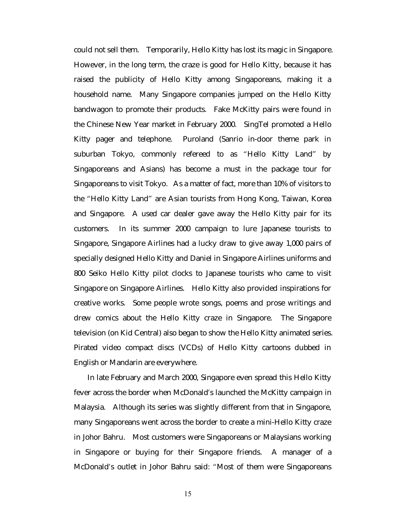could not sell them. Temporarily, Hello Kitty has lost its magic in Singapore. However, in the long term, the craze is good for Hello Kitty, because it has raised the publicity of Hello Kitty among Singaporeans, making it a household name. Many Singapore companies jumped on the Hello Kitty bandwagon to promote their products. Fake McKitty pairs were found in the Chinese New Year market in February 2000. SingTel promoted a Hello Kitty pager and telephone. Puroland (Sanrio in-door theme park in suburban Tokyo, commonly refereed to as "Hello Kitty Land" by Singaporeans and Asians) has become a must in the package tour for Singaporeans to visit Tokyo. As a matter of fact, more than 10% of visitors to the "Hello Kitty Land" are Asian tourists from Hong Kong, Taiwan, Korea and Singapore. A used car dealer gave away the Hello Kitty pair for its customers. In its summer 2000 campaign to lure Japanese tourists to Singapore, Singapore Airlines had a lucky draw to give away 1,000 pairs of specially designed Hello Kitty and Daniel in Singapore Airlines uniforms and 800 Seiko Hello Kitty pilot clocks to Japanese tourists who came to visit Singapore on Singapore Airlines. Hello Kitty also provided inspirations for creative works. Some people wrote songs, poems and prose writings and drew comics about the Hello Kitty craze in Singapore. The Singapore television (on Kid Central) also began to show the Hello Kitty animated series. Pirated video compact discs (VCDs) of Hello Kitty cartoons dubbed in English or Mandarin are everywhere.

In late February and March 2000, Singapore even spread this Hello Kitty fever across the border when McDonald's launched the McKitty campaign in Malaysia. Although its series was slightly different from that in Singapore, many Singaporeans went across the border to create a mini-Hello Kitty craze in Johor Bahru. Most customers were Singaporeans or Malaysians working in Singapore or buying for their Singapore friends. A manager of a McDonald's outlet in Johor Bahru said: "Most of them were Singaporeans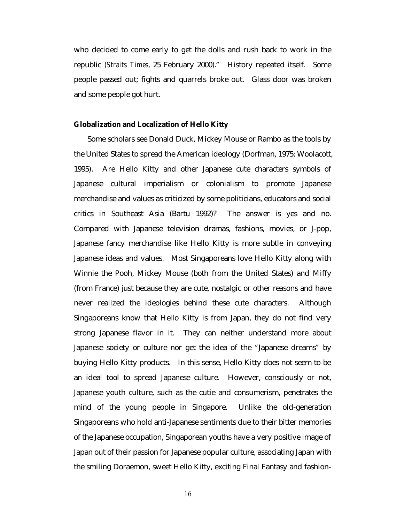who decided to come early to get the dolls and rush back to work in the republic (*Straits Times*, 25 February 2000)." History repeated itself. Some people passed out; fights and quarrels broke out. Glass door was broken and some people got hurt.

#### **Globalization and Localization of Hello Kitty**

Some scholars see Donald Duck, Mickey Mouse or Rambo as the tools by the United States to spread the American ideology (Dorfman, 1975; Woolacott, 1995). Are Hello Kitty and other Japanese cute characters symbols of Japanese cultural imperialism or colonialism to promote Japanese merchandise and values as criticized by some politicians, educators and social critics in Southeast Asia (Bartu 1992)? The answer is yes and no. Compared with Japanese television dramas, fashions, movies, or J-pop, Japanese fancy merchandise like Hello Kitty is more subtle in conveying Japanese ideas and values. Most Singaporeans love Hello Kitty along with Winnie the Pooh, Mickey Mouse (both from the United States) and Miffy (from France) just because they are cute, nostalgic or other reasons and have never realized the ideologies behind these cute characters. Although Singaporeans know that Hello Kitty is from Japan, they do not find very strong Japanese flavor in it. They can neither understand more about Japanese society or culture nor get the idea of the "Japanese dreams" by buying Hello Kitty products. In this sense, Hello Kitty does not seem to be an ideal tool to spread Japanese culture. However, consciously or not, Japanese youth culture, such as the cutie and consumerism, penetrates the mind of the young people in Singapore. Unlike the old-generation Singaporeans who hold anti-Japanese sentiments due to their bitter memories of the Japanese occupation, Singaporean youths have a very positive image of Japan out of their passion for Japanese popular culture, associating Japan with the smiling Doraemon, sweet Hello Kitty, exciting Final Fantasy and fashion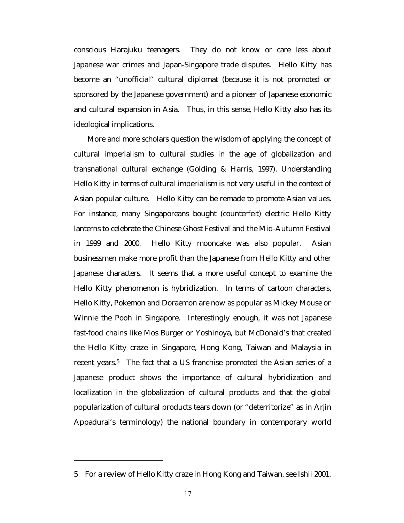conscious Harajuku teenagers. They do not know or care less about Japanese war crimes and Japan-Singapore trade disputes. Hello Kitty has become an "unofficial" cultural diplomat (because it is not promoted or sponsored by the Japanese government) and a pioneer of Japanese economic and cultural expansion in Asia. Thus, in this sense, Hello Kitty also has its ideological implications.

More and more scholars question the wisdom of applying the concept of cultural imperialism to cultural studies in the age of globalization and transnational cultural exchange (Golding & Harris, 1997). Understanding Hello Kitty in terms of cultural imperialism is not very useful in the context of Asian popular culture. Hello Kitty can be remade to promote Asian values. For instance, many Singaporeans bought (counterfeit) electric Hello Kitty lanterns to celebrate the Chinese Ghost Festival and the Mid-Autumn Festival in 1999 and 2000. Hello Kitty mooncake was also popular. Asian businessmen make more profit than the Japanese from Hello Kitty and other Japanese characters. It seems that a more useful concept to examine the Hello Kitty phenomenon is hybridization. In terms of cartoon characters, Hello Kitty, Pokemon and Doraemon are now as popular as Mickey Mouse or Winnie the Pooh in Singapore. Interestingly enough, it was not Japanese fast-food chains like Mos Burger or Yoshinoya, but McDonald's that created the Hello Kitty craze in Singapore, Hong Kong, Taiwan and Malaysia in recent years.<sup>5</sup> The fact that a US franchise promoted the Asian series of a Japanese product shows the importance of cultural hybridization and localization in the globalization of cultural products and that the global popularization of cultural products tears down (or "deterritorize" as in Arjin Appadurai's terminology) the national boundary in contemporary world

<sup>5</sup> For a review of Hello Kitty craze in Hong Kong and Taiwan, see Ishii 2001.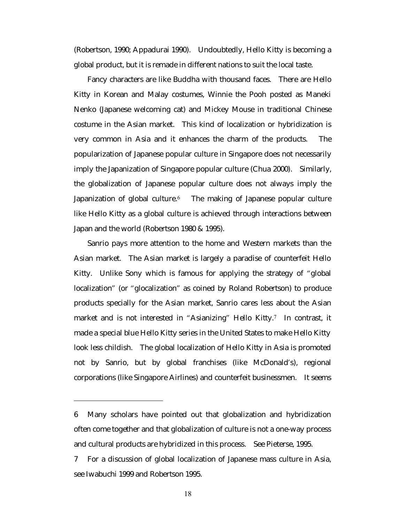(Robertson, 1990; Appadurai 1990). Undoubtedly, Hello Kitty is becoming a global product, but it is remade in different nations to suit the local taste.

Fancy characters are like Buddha with thousand faces. There are Hello Kitty in Korean and Malay costumes, Winnie the Pooh posted as Maneki Nenko (Japanese welcoming cat) and Mickey Mouse in traditional Chinese costume in the Asian market. This kind of localization or hybridization is very common in Asia and it enhances the charm of the products. The popularization of Japanese popular culture in Singapore does not necessarily imply the Japanization of Singapore popular culture (Chua 2000). Similarly, the globalization of Japanese popular culture does not always imply the Japanization of global culture.<sup>6</sup> The making of Japanese popular culture like Hello Kitty as a global culture is achieved through interactions between Japan and the world (Robertson 1980 & 1995).

Sanrio pays more attention to the home and Western markets than the Asian market. The Asian market is largely a paradise of counterfeit Hello Kitty. Unlike Sony which is famous for applying the strategy of "global localization" (or "glocalization" as coined by Roland Robertson) to produce products specially for the Asian market, Sanrio cares less about the Asian market and is not interested in "Asianizing" Hello Kitty.<sup>7</sup> In contrast, it made a special blue Hello Kitty series in the United States to make Hello Kitty look less childish. The global localization of Hello Kitty in Asia is promoted not by Sanrio, but by global franchises (like McDonald's), regional corporations (like Singapore Airlines) and counterfeit businessmen. It seems

<sup>6</sup> Many scholars have pointed out that globalization and hybridization often come together and that globalization of culture is not a one-way process and cultural products are hybridized in this process. See Pieterse, 1995.

<sup>7</sup> For a discussion of global localization of Japanese mass culture in Asia, see Iwabuchi 1999 and Robertson 1995.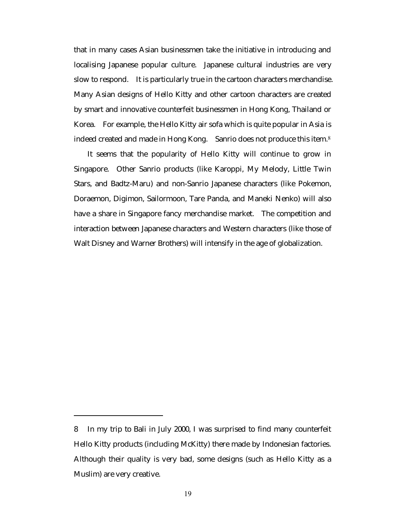that in many cases Asian businessmen take the initiative in introducing and localising Japanese popular culture. Japanese cultural industries are very slow to respond. It is particularly true in the cartoon characters merchandise. Many Asian designs of Hello Kitty and other cartoon characters are created by smart and innovative counterfeit businessmen in Hong Kong, Thailand or Korea. For example, the Hello Kitty air sofa which is quite popular in Asia is indeed created and made in Hong Kong. Sanrio does not produce this item. $8$ 

It seems that the popularity of Hello Kitty will continue to grow in Singapore. Other Sanrio products (like Karoppi, My Melody, Little Twin Stars, and Badtz-Maru) and non-Sanrio Japanese characters (like Pokemon, Doraemon, Digimon, Sailormoon, Tare Panda, and Maneki Nenko) will also have a share in Singapore fancy merchandise market. The competition and interaction between Japanese characters and Western characters (like those of Walt Disney and Warner Brothers) will intensify in the age of globalization.

<sup>8</sup> In my trip to Bali in July 2000, I was surprised to find many counterfeit Hello Kitty products (including McKitty) there made by Indonesian factories. Although their quality is very bad, some designs (such as Hello Kitty as a Muslim) are very creative.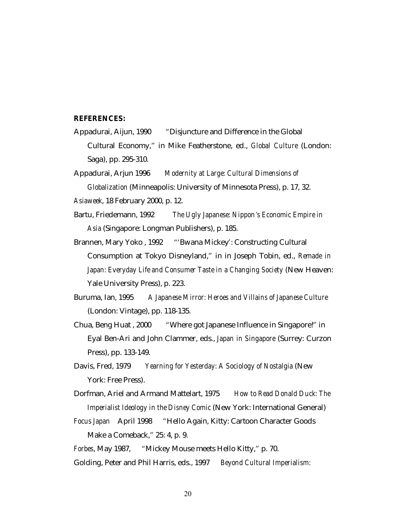#### **REFERENCES:**

- Appadurai, Aijun, 1990 "Disjuncture and Difference in the Global Cultural Economy," in Mike Featherstone, ed., *Global Culture* (London: Saga), pp. 295-310.
- Appadurai, Arjun 1996 *Modernity at Large: Cultural Dimensions of Globalization* (Minneapolis: University of Minnesota Press), p. 17, 32.
- *Asiaweek*, 18 February 2000, p. 12.
- Bartu, Friedemann, 1992 *The Ugly Japanese: Nippon's Economic Empire in Asia* (Singapore: Longman Publishers), p. 185.
- Brannen, Mary Yoko , 1992 "'Bwana Mickey': Constructing Cultural Consumption at Tokyo Disneyland," in in Joseph Tobin, ed., *Remade in Japan: Everyday Life and Consumer Taste in a Changing Society* (New Heaven: Yale University Press), p. 223.
- Buruma, Ian, 1995 *A Japanese Mirror: Heroes and Villains of Japanese Culture* (London: Vintage), pp. 118-135.
- Chua, Beng Huat , 2000 "Where got Japanese Influence in Singapore!" in Eyal Ben-Ari and John Clammer, eds., *Japan in Singapore* (Surrey: Curzon Press), pp. 133-149.
- Davis, Fred, 1979 *Yearning for Yesterday: A Sociology of Nostalgia* (New York: Free Press).
- Dorfman, Ariel and Armand Mattelart, 1975 *How to Read Donald Duck: The Imperialist Ideology in the Disney Comic* (New York: International General)
- *Focus Japan* April 1998 "Hello Again, Kitty: Cartoon Character Goods Make a Comeback," 25: 4, p. 9.

*Forbes*, May 1987, "Mickey Mouse meets Hello Kitty," p. 70. Golding, Peter and Phil Harris, eds., 1997 *Beyond Cultural Imperialism:*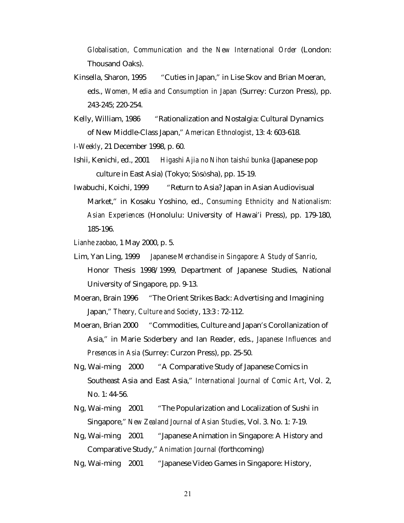*Globalisation, Communication and the New International Order* (London: Thousand Oaks).

- Kinsella, Sharon, 1995 "Cuties in Japan," in Lise Skov and Brian Moeran, eds., *Women, Media and Consumption in Japan* (Surrey: Curzon Press), pp. 243-245; 220-254.
- Kelly, William, 1986 "Rationalization and Nostalgia: Cultural Dynamics of New Middle-Class Japan," *American Ethnologist*, 13: 4: 603-618.

*I-Weekly*, 21 December 1998, p. 60.

- Ishii, Kenichi, ed., 2001 *Higashi Ajia no Nihon taishû bunka* (Japanese pop culture in East Asia) (Tokyo; Sôsôsha), pp. 15-19.
- Iwabuchi, Koichi, 1999 "Return to Asia? Japan in Asian Audiovisual Market," in Kosaku Yoshino, ed., *Consuming Ethnicity and Nationalism: Asian Experiences* (Honolulu: University of Hawai'i Press), pp. 179-180, 185-196.
- *Lianhe zaobao*, 1 May 2000, p. 5.
- Lim, Yan Ling, 1999 *Japanese Merchandise in Singapore: A Study of Sanrio*, Honor Thesis 1998/1999, Department of Japanese Studies, National University of Singapore, pp. 9-13.
- Moeran, Brain 1996 "The Orient Strikes Back: Advertising and Imagining Japan," *Theory, Culture and Society*, 13:3 : 72-112.
- Moeran, Brian 2000 "Commodities, Culture and Japan's Corollanization of Asia," in Marie Söderbery and Ian Reader, eds., *Japanese Influences and Presences in Asia* (Surrey: Curzon Press), pp. 25-50.
- Ng, Wai-ming 2000 "A Comparative Study of Japanese Comics in Southeast Asia and East Asia," *International Journal of Comic Art*, Vol. 2, No. 1: 44-56.
- Ng, Wai-ming 2001 "The Popularization and Localization of Sushi in Singapore," *New Zealand Journal of Asian Studies*, Vol. 3. No. 1: 7-19.
- Ng, Wai-ming 2001 "Japanese Animation in Singapore: A History and Comparative Study," *Animation Journal* (forthcoming)
- Ng, Wai-ming 2001 "Japanese Video Games in Singapore: History,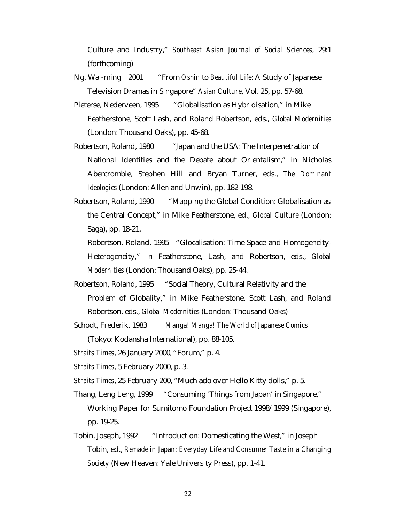Culture and Industry," *Southeast Asian Journal of Social Sciences*, 29:1 (forthcoming)

- Ng, Wai-ming 2001 "From *Oshin* to *Beautiful Life*: A Study of Japanese Television Dramas in Singapore" *Asian Culture*, Vol. 25, pp. 57-68.
- Pieterse, Nederveen, 1995 "Globalisation as Hybridisation," in Mike Featherstone, Scott Lash, and Roland Robertson, eds., *Global Modernities* (London: Thousand Oaks), pp. 45-68.
- Robertson, Roland, 1980 "Japan and the USA: The Interpenetration of National Identities and the Debate about Orientalism," in Nicholas Abercrombie, Stephen Hill and Bryan Turner, eds., *The Dominant Ideologies* (London: Allen and Unwin), pp. 182-198.
- Robertson, Roland, 1990 "Mapping the Global Condition: Globalisation as the Central Concept," in Mike Featherstone, ed., *Global Culture* (London: Saga), pp. 18-21.

Robertson, Roland, 1995 "Glocalisation: Time-Space and Homogeneity-Heterogeneity," in Featherstone, Lash, and Robertson, eds., *Global Modernities* (London: Thousand Oaks), pp. 25-44.

- Robertson, Roland, 1995 "Social Theory, Cultural Relativity and the Problem of Globality," in Mike Featherstone, Scott Lash, and Roland Robertson, eds., *Global Modernities* (London: Thousand Oaks)
- Schodt, Frederik, 1983 *Manga! Manga! The World of Japanese Comics* (Tokyo: Kodansha International), pp. 88-105.
- *Straits Times*, 26 January 2000, "Forum," p. 4.
- *Straits Times*, 5 February 2000, p. 3.
- *Straits Times*, 25 February 200, "Much ado over Hello Kitty dolls," p. 5.
- Thang, Leng Leng, 1999 "Consuming 'Things from Japan' in Singapore," Working Paper for Sumitomo Foundation Project 1998/1999 (Singapore), pp. 19-25.
- Tobin, Joseph, 1992 "Introduction: Domesticating the West," in Joseph Tobin, ed., *Remade in Japan: Everyday Life and Consumer Taste in a Changing Society* (New Heaven: Yale University Press), pp. 1-41.